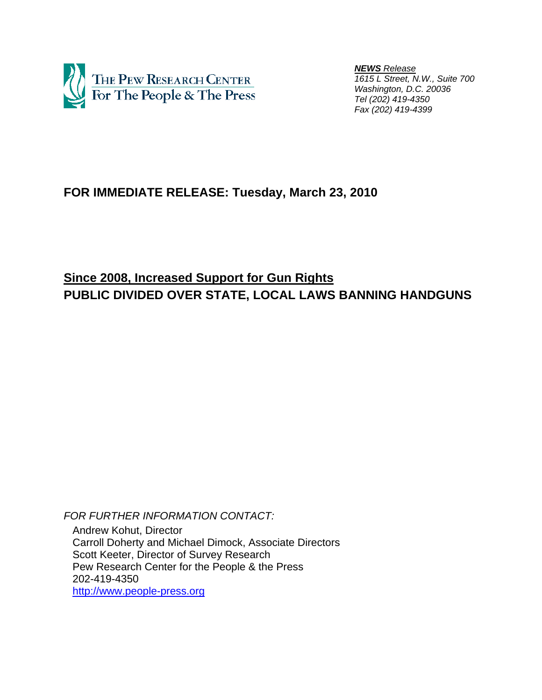

 *NEWS Release 1615 L Street, N.W., Suite 700 Washington, D.C. 20036 Tel (202) 419-4350 Fax (202) 419-4399*

# **FOR IMMEDIATE RELEASE: Tuesday, March 23, 2010**

# **Since 2008, Increased Support for Gun Rights PUBLIC DIVIDED OVER STATE, LOCAL LAWS BANNING HANDGUNS**

*FOR FURTHER INFORMATION CONTACT:*  Andrew Kohut, Director Carroll Doherty and Michael Dimock, Associate Directors Scott Keeter, Director of Survey Research Pew Research Center for the People & the Press 202-419-4350 http://www.people-press.org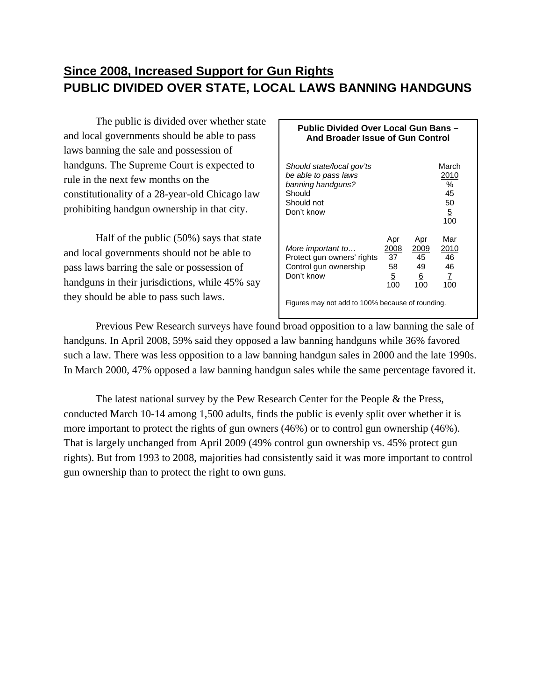# **Since 2008, Increased Support for Gun Rights PUBLIC DIVIDED OVER STATE, LOCAL LAWS BANNING HANDGUNS**

The public is divided over whether state and local governments should be able to pass laws banning the sale and possession of handguns. The Supreme Court is expected to rule in the next few months on the constitutionality of a 28-year-old Chicago law prohibiting handgun ownership in that city.

 Half of the public (50%) says that state and local governments should not be able to pass laws barring the sale or possession of handguns in their jurisdictions, while 45% say they should be able to pass such laws.

## **Public Divided Over Local Gun Bans – And Broader Issue of Gun Control Should state/local gov'ts** March *be able to pass laws* 2010 *banning handguns?* % Should 45 Should not 50 Don't know 5 **100** Apr Apr Mar *More important to…* 2008 2009 2010 Protect gun owners' rights 37 45 46<br>Control gun ownership 58 49 46 Control gun ownership Don't know  $\frac{5}{5}$  6 7 100 100 100 Figures may not add to 100% because of rounding.

 Previous Pew Research surveys have found broad opposition to a law banning the sale of handguns. In April 2008, 59% said they opposed a law banning handguns while 36% favored such a law. There was less opposition to a law banning handgun sales in 2000 and the late 1990s. In March 2000, 47% opposed a law banning handgun sales while the same percentage favored it.

 The latest national survey by the Pew Research Center for the People & the Press, conducted March 10-14 among 1,500 adults, finds the public is evenly split over whether it is more important to protect the rights of gun owners (46%) or to control gun ownership (46%). That is largely unchanged from April 2009 (49% control gun ownership vs. 45% protect gun rights). But from 1993 to 2008, majorities had consistently said it was more important to control gun ownership than to protect the right to own guns.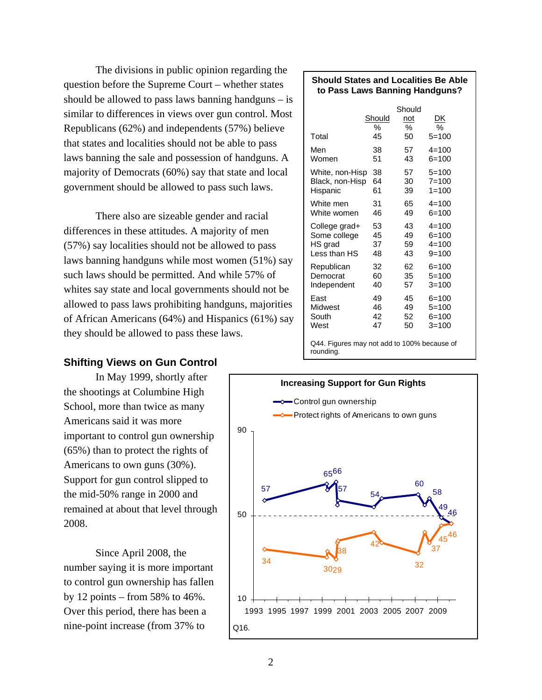The divisions in public opinion regarding the question before the Supreme Court – whether states should be allowed to pass laws banning handguns – is similar to differences in views over gun control. Most Republicans (62%) and independents (57%) believe that states and localities should not be able to pass laws banning the sale and possession of handguns. A majority of Democrats (60%) say that state and local government should be allowed to pass such laws.

There also are sizeable gender and racial differences in these attitudes. A majority of men (57%) say localities should not be allowed to pass laws banning handguns while most women (51%) say such laws should be permitted. And while 57% of whites say state and local governments should not be allowed to pass laws prohibiting handguns, majorities of African Americans (64%) and Hispanics (61%) say they should be allowed to pass these laws.

## **Shifting Views on Gun Control**

 In May 1999, shortly after the shootings at Columbine High School, more than twice as many Americans said it was more important to control gun ownership (65%) than to protect the rights of Americans to own guns (30%). Support for gun control slipped to the mid-50% range in 2000 and remained at about that level through 2008.

 Since April 2008, the number saying it is more important to control gun ownership has fallen by 12 points – from 58% to  $46\%$ . Over this period, there has been a nine-point increase (from 37% to

#### **Should States and Localities Be Able to Pass Laws Banning Handguns?**

|                                             | Should<br>% | Should<br>not<br>℅ | DK<br>℅   |  |  |  |  |  |
|---------------------------------------------|-------------|--------------------|-----------|--|--|--|--|--|
| Total                                       | 45          | 50                 | $5=100$   |  |  |  |  |  |
| Men                                         | 38          | 57                 | $4 = 100$ |  |  |  |  |  |
| Women                                       | 51          | 43                 | $6=100$   |  |  |  |  |  |
| White, non-Hisp                             | 38          | 57                 | $5=100$   |  |  |  |  |  |
| Black, non-Hisp                             | 64          | 30                 | $7 = 100$ |  |  |  |  |  |
| Hispanic                                    | 61          | 39                 | $1 = 100$ |  |  |  |  |  |
| White men                                   | 31          | 65                 | $4 = 100$ |  |  |  |  |  |
| White women                                 | 46          | 49                 | $6 = 100$ |  |  |  |  |  |
| College grad+                               | 53          | 43                 | $4 = 100$ |  |  |  |  |  |
| Some college                                | 45          | 49                 | $6 = 100$ |  |  |  |  |  |
| HS grad                                     | 37          | 59                 | $4 = 100$ |  |  |  |  |  |
| Less than HS                                | 48          | 43                 | $9 = 100$ |  |  |  |  |  |
| Republican                                  | 32          | 62                 | $6 = 100$ |  |  |  |  |  |
| Democrat                                    | 60          | 35                 | $5=100$   |  |  |  |  |  |
| Independent                                 | 40          | 57                 | $3 = 100$ |  |  |  |  |  |
| East                                        | 49          | 45                 | $6 = 100$ |  |  |  |  |  |
| Midwest                                     | 46          | 49                 | $5=100$   |  |  |  |  |  |
| South                                       | 42          | 52                 | 6=100     |  |  |  |  |  |
| West                                        | 47          | 50                 | 3=100     |  |  |  |  |  |
| Q44. Figures may not add to 100% because of |             |                    |           |  |  |  |  |  |

rounding.

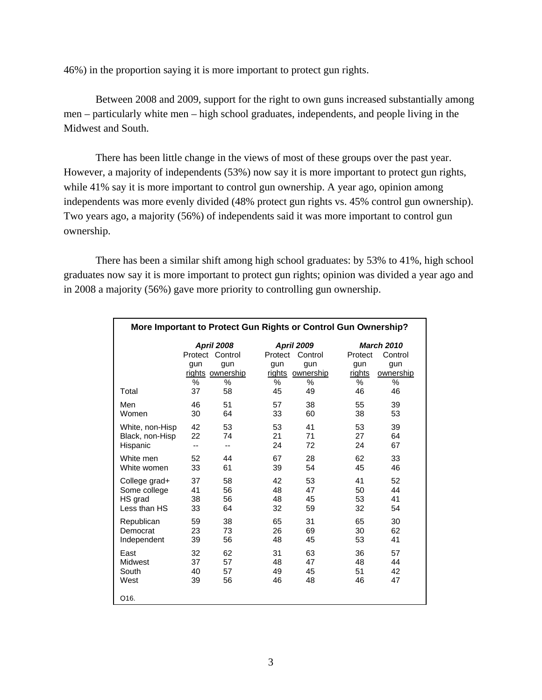46%) in the proportion saying it is more important to protect gun rights.

Between 2008 and 2009, support for the right to own guns increased substantially among men – particularly white men – high school graduates, independents, and people living in the Midwest and South.

There has been little change in the views of most of these groups over the past year. However, a majority of independents (53%) now say it is more important to protect gun rights, while 41% say it is more important to control gun ownership. A year ago, opinion among independents was more evenly divided (48% protect gun rights vs. 45% control gun ownership). Two years ago, a majority (56%) of independents said it was more important to control gun ownership.

There has been a similar shift among high school graduates: by 53% to 41%, high school graduates now say it is more important to protect gun rights; opinion was divided a year ago and in 2008 a majority (56%) gave more priority to controlling gun ownership.

| More Important to Protect Gun Rights or Control Gun Ownership? |          |                                                                         |                               |                                                          |                                                                                        |    |  |  |  |  |  |
|----------------------------------------------------------------|----------|-------------------------------------------------------------------------|-------------------------------|----------------------------------------------------------|----------------------------------------------------------------------------------------|----|--|--|--|--|--|
|                                                                | gun<br>% | <b>April 2008</b><br>Protect Control<br>gun<br>rights ownership<br>$\%$ | Protect<br>gun<br>rights<br>% | <b>April 2009</b><br>Control<br>gun<br>ownership<br>$\%$ | <b>March 2010</b><br>Protect<br>Control<br>gun<br>gun<br>rights<br>ownership<br>℅<br>% |    |  |  |  |  |  |
| Total                                                          | 37       | 58                                                                      | 45                            | 49                                                       | 46                                                                                     | 46 |  |  |  |  |  |
| Men                                                            | 46       | 51                                                                      | 57                            | 38                                                       | 55                                                                                     | 39 |  |  |  |  |  |
| Women                                                          | 30       | 64                                                                      | 33                            | 60                                                       | 38                                                                                     | 53 |  |  |  |  |  |
| White, non-Hisp                                                | 42       | 53                                                                      | 53                            | 41                                                       | 53                                                                                     | 39 |  |  |  |  |  |
| Black, non-Hisp                                                | 22       | 74                                                                      | 21                            | 71                                                       | 27                                                                                     | 64 |  |  |  |  |  |
| Hispanic                                                       | --       | --                                                                      | 24                            | 72                                                       | 24                                                                                     | 67 |  |  |  |  |  |
| White men                                                      | 52       | 44                                                                      | 67                            | 28                                                       | 62                                                                                     | 33 |  |  |  |  |  |
| White women                                                    | 33       | 61                                                                      | 39                            | 54                                                       | 45                                                                                     | 46 |  |  |  |  |  |
| College grad+                                                  | 37       | 58                                                                      | 42                            | 53                                                       | 41                                                                                     | 52 |  |  |  |  |  |
| Some college                                                   | 41       | 56                                                                      | 48                            | 47                                                       | 50                                                                                     | 44 |  |  |  |  |  |
| HS grad                                                        | 38       | 56                                                                      | 48                            | 45                                                       | 53                                                                                     | 41 |  |  |  |  |  |
| Less than HS                                                   | 33       | 64                                                                      | 32                            | 59                                                       | 32                                                                                     | 54 |  |  |  |  |  |
| Republican                                                     | 59       | 38                                                                      | 65                            | 31                                                       | 65                                                                                     | 30 |  |  |  |  |  |
| Democrat                                                       | 23       | 73                                                                      | 26                            | 69                                                       | 30                                                                                     | 62 |  |  |  |  |  |
| Independent                                                    | 39       | 56                                                                      | 48                            | 45                                                       | 53                                                                                     | 41 |  |  |  |  |  |
| East                                                           | 32       | 62                                                                      | 31                            | 63                                                       | 36                                                                                     | 57 |  |  |  |  |  |
| Midwest                                                        | 37       | 57                                                                      | 48                            | 47                                                       | 48                                                                                     | 44 |  |  |  |  |  |
| South                                                          | 40       | 57                                                                      | 49                            | 45                                                       | 51                                                                                     | 42 |  |  |  |  |  |
| West                                                           | 39       | 56                                                                      | 46                            | 48                                                       | 46                                                                                     | 47 |  |  |  |  |  |
| Q16.                                                           |          |                                                                         |                               |                                                          |                                                                                        |    |  |  |  |  |  |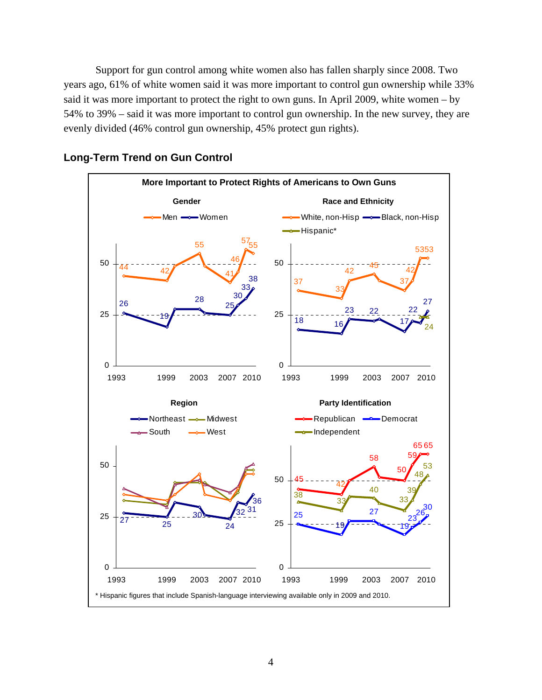Support for gun control among white women also has fallen sharply since 2008. Two years ago, 61% of white women said it was more important to control gun ownership while 33% said it was more important to protect the right to own guns. In April 2009, white women – by 54% to 39% – said it was more important to control gun ownership. In the new survey, they are evenly divided (46% control gun ownership, 45% protect gun rights).



## **Long-Term Trend on Gun Control**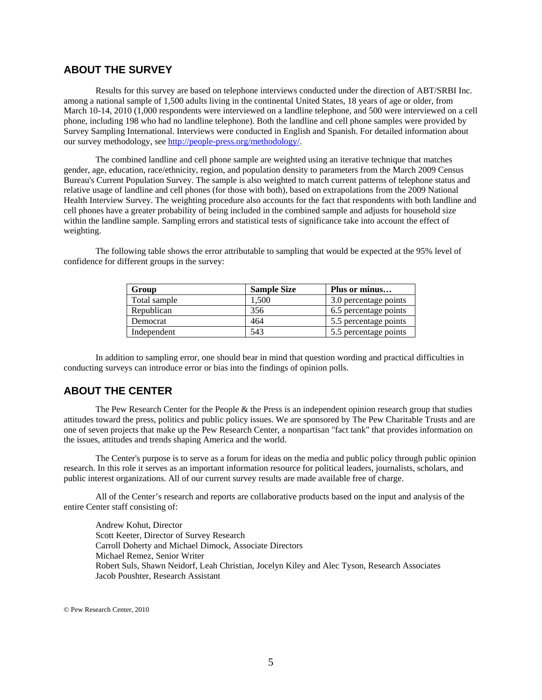## **ABOUT THE SURVEY**

Results for this survey are based on telephone interviews conducted under the direction of ABT/SRBI Inc. among a national sample of 1,500 adults living in the continental United States, 18 years of age or older, from March 10-14, 2010 (1,000 respondents were interviewed on a landline telephone, and 500 were interviewed on a cell phone, including 198 who had no landline telephone). Both the landline and cell phone samples were provided by Survey Sampling International. Interviews were conducted in English and Spanish. For detailed information about our survey methodology, see http://people-press.org/methodology/.

The combined landline and cell phone sample are weighted using an iterative technique that matches gender, age, education, race/ethnicity, region, and population density to parameters from the March 2009 Census Bureau's Current Population Survey. The sample is also weighted to match current patterns of telephone status and relative usage of landline and cell phones (for those with both), based on extrapolations from the 2009 National Health Interview Survey. The weighting procedure also accounts for the fact that respondents with both landline and cell phones have a greater probability of being included in the combined sample and adjusts for household size within the landline sample. Sampling errors and statistical tests of significance take into account the effect of weighting.

The following table shows the error attributable to sampling that would be expected at the 95% level of confidence for different groups in the survey:

| Group        | <b>Sample Size</b> | Plus or minus         |
|--------------|--------------------|-----------------------|
| Total sample | 1.500              | 3.0 percentage points |
| Republican   | 356                | 6.5 percentage points |
| Democrat     | 464                | 5.5 percentage points |
| Independent  | 543                | 5.5 percentage points |

In addition to sampling error, one should bear in mind that question wording and practical difficulties in conducting surveys can introduce error or bias into the findings of opinion polls.

## **ABOUT THE CENTER**

 The Pew Research Center for the People & the Press is an independent opinion research group that studies attitudes toward the press, politics and public policy issues. We are sponsored by The Pew Charitable Trusts and are one of seven projects that make up the Pew Research Center, a nonpartisan "fact tank" that provides information on the issues, attitudes and trends shaping America and the world.

 The Center's purpose is to serve as a forum for ideas on the media and public policy through public opinion research. In this role it serves as an important information resource for political leaders, journalists, scholars, and public interest organizations. All of our current survey results are made available free of charge.

 All of the Center's research and reports are collaborative products based on the input and analysis of the entire Center staff consisting of:

 Andrew Kohut, Director Scott Keeter, Director of Survey Research Carroll Doherty and Michael Dimock, Associate Directors Michael Remez, Senior Writer Robert Suls, Shawn Neidorf, Leah Christian, Jocelyn Kiley and Alec Tyson, Research Associates Jacob Poushter, Research Assistant

© Pew Research Center, 2010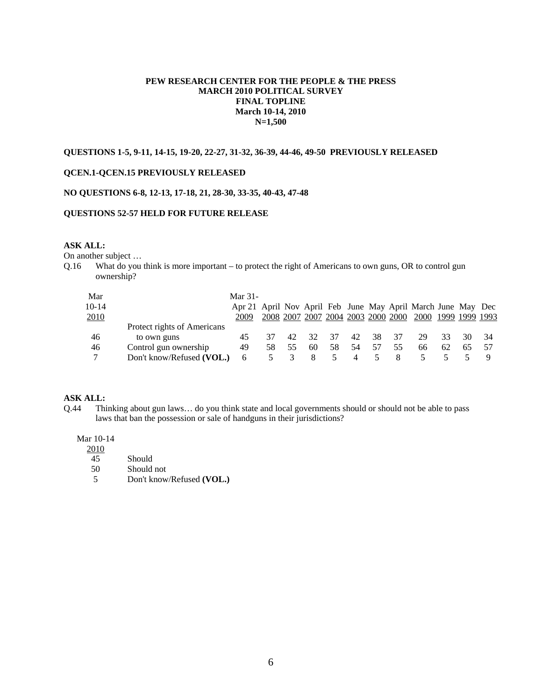### **PEW RESEARCH CENTER FOR THE PEOPLE & THE PRESS MARCH 2010 POLITICAL SURVEY FINAL TOPLINE March 10-14, 2010 N=1,500**

### **QUESTIONS 1-5, 9-11, 14-15, 19-20, 22-27, 31-32, 36-39, 44-46, 49-50 PREVIOUSLY RELEASED**

### **QCEN.1-QCEN.15 PREVIOUSLY RELEASED**

#### **NO QUESTIONS 6-8, 12-13, 17-18, 21, 28-30, 33-35, 40-43, 47-48**

#### **QUESTIONS 52-57 HELD FOR FUTURE RELEASE**

#### **ASK ALL:**

On another subject …

Q.16 What do you think is more important – to protect the right of Americans to own guns, OR to control gun ownership?

| Mar     |                             | Mar $31-$                                                    |    |    |                                    |     |     |     |     |                     |    |    |     |
|---------|-----------------------------|--------------------------------------------------------------|----|----|------------------------------------|-----|-----|-----|-----|---------------------|----|----|-----|
| $10-14$ |                             | Apr 21 April Nov April Feb June May April March June May Dec |    |    |                                    |     |     |     |     |                     |    |    |     |
| 2010    |                             | 2009                                                         |    |    | 2008 2007 2007 2004 2003 2000 2000 |     |     |     |     | 2000 1999 1999 1993 |    |    |     |
|         | Protect rights of Americans |                                                              |    |    |                                    |     |     |     |     |                     |    |    |     |
| 46      | to own guns                 | 45                                                           |    | 42 | 32                                 | -37 | 42  | -38 | -37 | 29                  | 33 | 30 | -34 |
| 46      | Control gun ownership       | 49                                                           | 58 | 55 | 60                                 | 58  | .54 | 57  | 55  | 66                  | 62 | 65 |     |
| ⇁       | Don't know/Refused (VOL.)   | 6                                                            |    |    |                                    |     |     |     |     |                     |    |    |     |

#### **ASK ALL:**

Q.44 Thinking about gun laws… do you think state and local governments should or should not be able to pass laws that ban the possession or sale of handguns in their jurisdictions?

#### Mar 10-14

| 2010 |            |  |
|------|------------|--|
| 45   | Should     |  |
| 50   | Should not |  |

5 Don't know/Refused **(VOL.)**